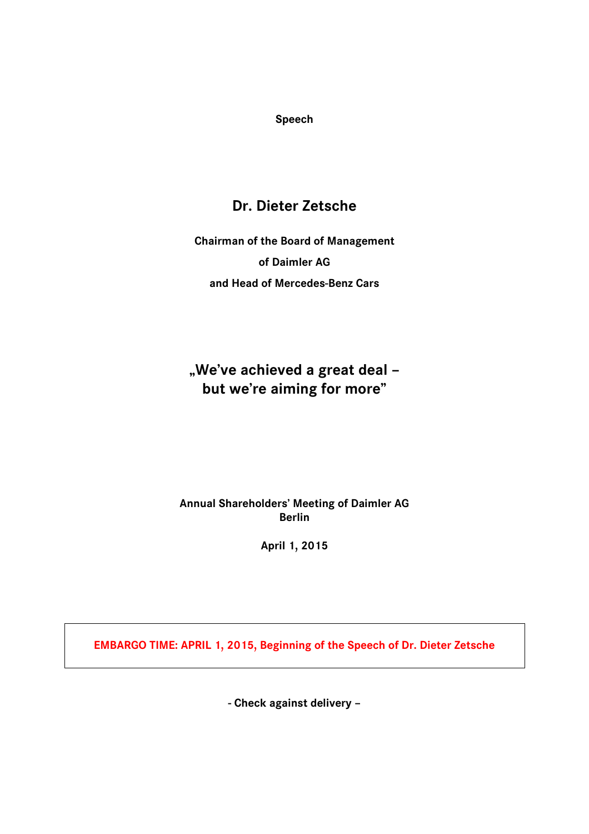**Speech**

# **Dr. Dieter Zetsche**

**Chairman of the Board of Management of Daimler AG and Head of Mercedes-Benz Cars**

**"We've achieved a great deal – but we're aiming for more"**

**Annual Shareholders' Meeting of Daimler AG Berlin**

**April 1, 2015** 

**EMBARGO TIME: APRIL 1, 2015, Beginning of the Speech of Dr. Dieter Zetsche**

**- Check against delivery –**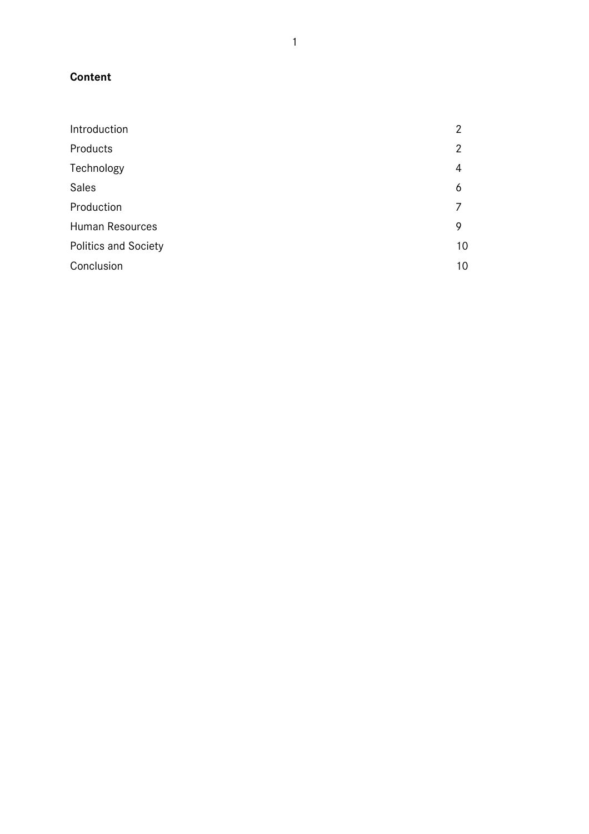# **Content**

| Introduction                | 2  |
|-----------------------------|----|
| Products                    | 2  |
| Technology                  | 4  |
| <b>Sales</b>                | 6  |
| Production                  |    |
| Human Resources             | 9  |
| <b>Politics and Society</b> | 10 |
| Conclusion                  | 10 |
|                             |    |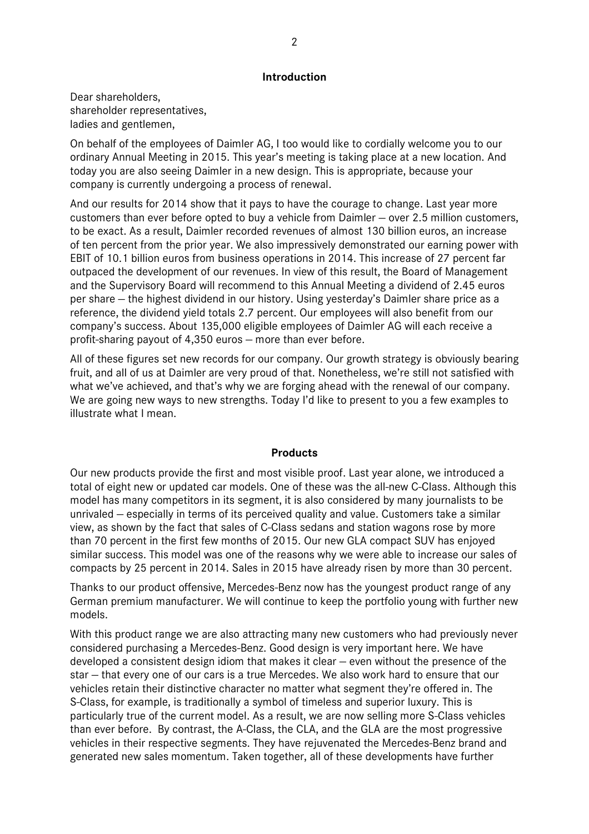# **Introduction**

Dear shareholders, shareholder representatives, ladies and gentlemen,

On behalf of the employees of Daimler AG, I too would like to cordially welcome you to our ordinary Annual Meeting in 2015. This year's meeting is taking place at a new location. And today you are also seeing Daimler in a new design. This is appropriate, because your company is currently undergoing a process of renewal.

And our results for 2014 show that it pays to have the courage to change. Last year more customers than ever before opted to buy a vehicle from Daimler — over 2.5 million customers, to be exact. As a result, Daimler recorded revenues of almost 130 billion euros, an increase of ten percent from the prior year. We also impressively demonstrated our earning power with EBIT of 10.1 billion euros from business operations in 2014. This increase of 27 percent far outpaced the development of our revenues. In view of this result, the Board of Management and the Supervisory Board will recommend to this Annual Meeting a dividend of 2.45 euros per share — the highest dividend in our history. Using yesterday's Daimler share price as a reference, the dividend yield totals 2.7 percent. Our employees will also benefit from our company's success. About 135,000 eligible employees of Daimler AG will each receive a profit-sharing payout of 4,350 euros — more than ever before.

All of these figures set new records for our company. Our growth strategy is obviously bearing fruit, and all of us at Daimler are very proud of that. Nonetheless, we're still not satisfied with what we've achieved, and that's why we are forging ahead with the renewal of our company. We are going new ways to new strengths. Today I'd like to present to you a few examples to illustrate what I mean.

# **Products**

Our new products provide the first and most visible proof. Last year alone, we introduced a total of eight new or updated car models. One of these was the all-new C-Class. Although this model has many competitors in its segment, it is also considered by many journalists to be unrivaled — especially in terms of its perceived quality and value. Customers take a similar view, as shown by the fact that sales of C-Class sedans and station wagons rose by more than 70 percent in the first few months of 2015. Our new GLA compact SUV has enjoyed similar success. This model was one of the reasons why we were able to increase our sales of compacts by 25 percent in 2014. Sales in 2015 have already risen by more than 30 percent.

Thanks to our product offensive, Mercedes-Benz now has the youngest product range of any German premium manufacturer. We will continue to keep the portfolio young with further new models.

With this product range we are also attracting many new customers who had previously never considered purchasing a Mercedes-Benz. Good design is very important here. We have developed a consistent design idiom that makes it clear — even without the presence of the star — that every one of our cars is a true Mercedes. We also work hard to ensure that our vehicles retain their distinctive character no matter what segment they're offered in. The S-Class, for example, is traditionally a symbol of timeless and superior luxury. This is particularly true of the current model. As a result, we are now selling more S-Class vehicles than ever before. By contrast, the A-Class, the CLA, and the GLA are the most progressive vehicles in their respective segments. They have rejuvenated the Mercedes-Benz brand and generated new sales momentum. Taken together, all of these developments have further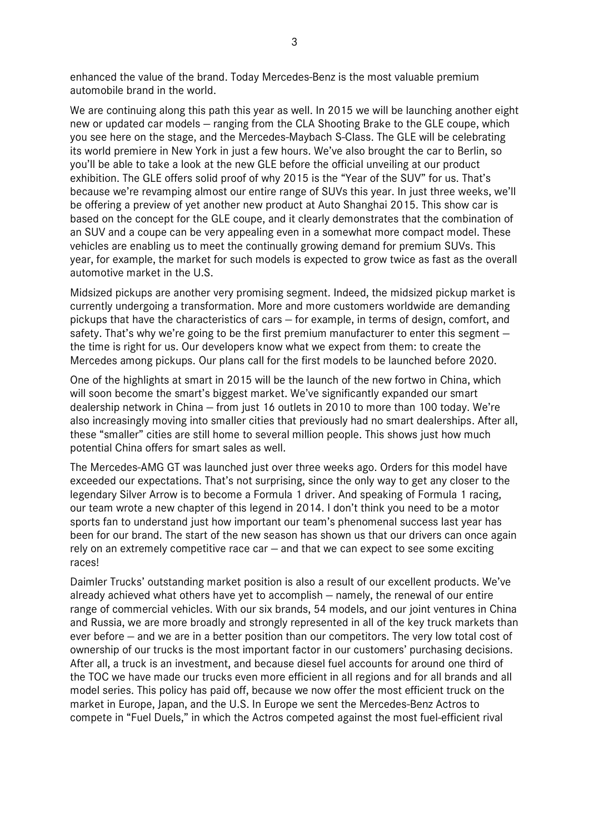enhanced the value of the brand. Today Mercedes-Benz is the most valuable premium automobile brand in the world.

We are continuing along this path this year as well. In 2015 we will be launching another eight new or updated car models — ranging from the CLA Shooting Brake to the GLE coupe, which you see here on the stage, and the Mercedes-Maybach S-Class. The GLE will be celebrating its world premiere in New York in just a few hours. We've also brought the car to Berlin, so you'll be able to take a look at the new GLE before the official unveiling at our product exhibition. The GLE offers solid proof of why 2015 is the "Year of the SUV" for us. That's because we're revamping almost our entire range of SUVs this year. In just three weeks, we'll be offering a preview of yet another new product at Auto Shanghai 2015. This show car is based on the concept for the GLE coupe, and it clearly demonstrates that the combination of an SUV and a coupe can be very appealing even in a somewhat more compact model. These vehicles are enabling us to meet the continually growing demand for premium SUVs. This year, for example, the market for such models is expected to grow twice as fast as the overall automotive market in the U.S.

Midsized pickups are another very promising segment. Indeed, the midsized pickup market is currently undergoing a transformation. More and more customers worldwide are demanding pickups that have the characteristics of cars — for example, in terms of design, comfort, and safety. That's why we're going to be the first premium manufacturer to enter this segment – the time is right for us. Our developers know what we expect from them: to create the Mercedes among pickups. Our plans call for the first models to be launched before 2020.

One of the highlights at smart in 2015 will be the launch of the new fortwo in China, which will soon become the smart's biggest market. We've significantly expanded our smart dealership network in China — from just 16 outlets in 2010 to more than 100 today. We're also increasingly moving into smaller cities that previously had no smart dealerships. After all, these "smaller" cities are still home to several million people. This shows just how much potential China offers for smart sales as well.

The Mercedes-AMG GT was launched just over three weeks ago. Orders for this model have exceeded our expectations. That's not surprising, since the only way to get any closer to the legendary Silver Arrow is to become a Formula 1 driver. And speaking of Formula 1 racing, our team wrote a new chapter of this legend in 2014. I don't think you need to be a motor sports fan to understand just how important our team's phenomenal success last year has been for our brand. The start of the new season has shown us that our drivers can once again rely on an extremely competitive race car — and that we can expect to see some exciting races!

Daimler Trucks' outstanding market position is also a result of our excellent products. We've already achieved what others have yet to accomplish — namely, the renewal of our entire range of commercial vehicles. With our six brands, 54 models, and our joint ventures in China and Russia, we are more broadly and strongly represented in all of the key truck markets than ever before — and we are in a better position than our competitors. The very low total cost of ownership of our trucks is the most important factor in our customers' purchasing decisions. After all, a truck is an investment, and because diesel fuel accounts for around one third of the TOC we have made our trucks even more efficient in all regions and for all brands and all model series. This policy has paid off, because we now offer the most efficient truck on the market in Europe, Japan, and the U.S. In Europe we sent the Mercedes-Benz Actros to compete in "Fuel Duels," in which the Actros competed against the most fuel-efficient rival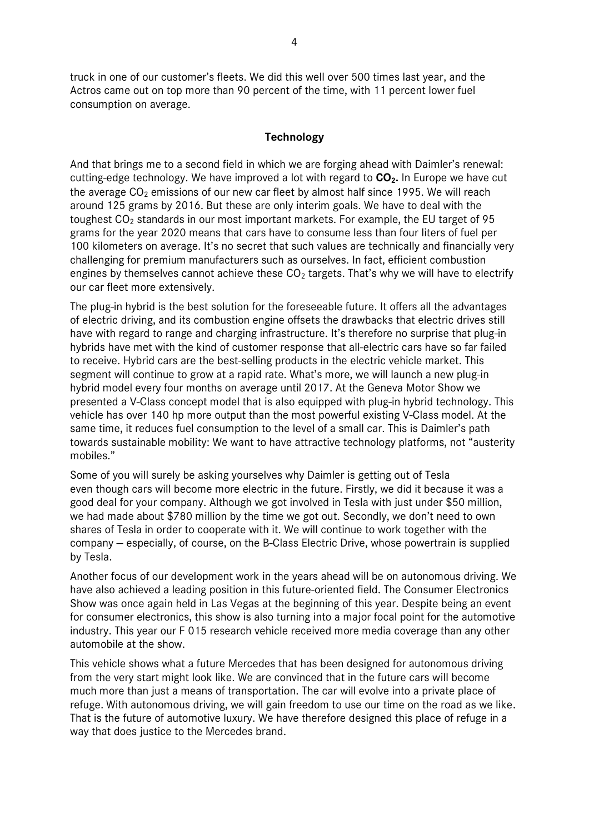truck in one of our customer's fleets. We did this well over 500 times last year, and the Actros came out on top more than 90 percent of the time, with 11 percent lower fuel consumption on average.

# **Technology**

And that brings me to a second field in which we are forging ahead with Daimler's renewal: cutting-edge technology. We have improved a lot with regard to **CO2.** In Europe we have cut the average  $CO<sub>2</sub>$  emissions of our new car fleet by almost half since 1995. We will reach around 125 grams by 2016. But these are only interim goals. We have to deal with the toughest  $CO<sub>2</sub>$  standards in our most important markets. For example, the EU target of 95 grams for the year 2020 means that cars have to consume less than four liters of fuel per 100 kilometers on average. It's no secret that such values are technically and financially very challenging for premium manufacturers such as ourselves. In fact, efficient combustion engines by themselves cannot achieve these  $CO<sub>2</sub>$  targets. That's why we will have to electrify our car fleet more extensively.

The plug-in hybrid is the best solution for the foreseeable future. It offers all the advantages of electric driving, and its combustion engine offsets the drawbacks that electric drives still have with regard to range and charging infrastructure. It's therefore no surprise that plug-in hybrids have met with the kind of customer response that all-electric cars have so far failed to receive. Hybrid cars are the best-selling products in the electric vehicle market. This segment will continue to grow at a rapid rate. What's more, we will launch a new plug-in hybrid model every four months on average until 2017. At the Geneva Motor Show we presented a V-Class concept model that is also equipped with plug-in hybrid technology. This vehicle has over 140 hp more output than the most powerful existing V-Class model. At the same time, it reduces fuel consumption to the level of a small car. This is Daimler's path towards sustainable mobility: We want to have attractive technology platforms, not "austerity mobiles."

Some of you will surely be asking yourselves why Daimler is getting out of Tesla even though cars will become more electric in the future. Firstly, we did it because it was a good deal for your company. Although we got involved in Tesla with just under \$50 million, we had made about \$780 million by the time we got out. Secondly, we don't need to own shares of Tesla in order to cooperate with it. We will continue to work together with the company — especially, of course, on the B-Class Electric Drive, whose powertrain is supplied by Tesla.

Another focus of our development work in the years ahead will be on autonomous driving. We have also achieved a leading position in this future-oriented field. The Consumer Electronics Show was once again held in Las Vegas at the beginning of this year. Despite being an event for consumer electronics, this show is also turning into a major focal point for the automotive industry. This year our F 015 research vehicle received more media coverage than any other automobile at the show.

This vehicle shows what a future Mercedes that has been designed for autonomous driving from the very start might look like. We are convinced that in the future cars will become much more than just a means of transportation. The car will evolve into a private place of refuge. With autonomous driving, we will gain freedom to use our time on the road as we like. That is the future of automotive luxury. We have therefore designed this place of refuge in a way that does justice to the Mercedes brand.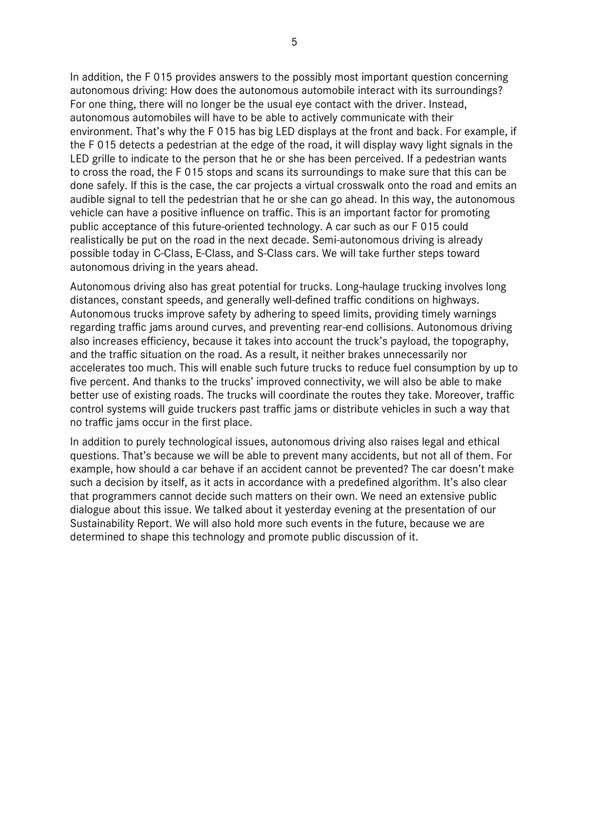In addition, the F 015 provides answers to the possibly most important question concerning autonomous driving: How does the autonomous automobile interact with its surroundings? For one thing, there will no longer be the usual eye contact with the driver. Instead, autonomous automobiles will have to be able to actively communicate with their environment. That's why the F 015 has big LED displays at the front and back. For example, if the F 015 detects a pedestrian at the edge of the road, it will display wavy light signals in the LED grille to indicate to the person that he or she has been perceived. If a pedestrian wants to cross the road, the F 015 stops and scans its surroundings to make sure that this can be done safely. If this is the case, the car projects a virtual crosswalk onto the road and emits an audible signal to tell the pedestrian that he or she can go ahead. In this way, the autonomous vehicle can have a positive influence on traffic. This is an important factor for promoting public acceptance of this future-oriented technology. A car such as our F 015 could realistically be put on the road in the next decade. Semi-autonomous driving is already possible today in C-Class, E-Class, and S-Class cars. We will take further steps toward autonomous driving in the years ahead.

Autonomous driving also has great potential for trucks. Long-haulage trucking involves long distances, constant speeds, and generally well-defined traffic conditions on highways. Autonomous trucks improve safety by adhering to speed limits, providing timely warnings regarding traffic jams around curves, and preventing rear-end collisions. Autonomous driving also increases efficiency, because it takes into account the truck's payload, the topography, and the traffic situation on the road. As a result, it neither brakes unnecessarily nor accelerates too much. This will enable such future trucks to reduce fuel consumption by up to five percent. And thanks to the trucks' improved connectivity, we will also be able to make better use of existing roads. The trucks will coordinate the routes they take. Moreover, traffic control systems will guide truckers past traffic jams or distribute vehicles in such a way that no traffic jams occur in the first place.

In addition to purely technological issues, autonomous driving also raises legal and ethical questions. That's because we will be able to prevent many accidents, but not all of them. For example, how should a car behave if an accident cannot be prevented? The car doesn't make such a decision by itself, as it acts in accordance with a predefined algorithm. It's also clear that programmers cannot decide such matters on their own. We need an extensive public dialogue about this issue. We talked about it yesterday evening at the presentation of our Sustainability Report. We will also hold more such events in the future, because we are determined to shape this technology and promote public discussion of it.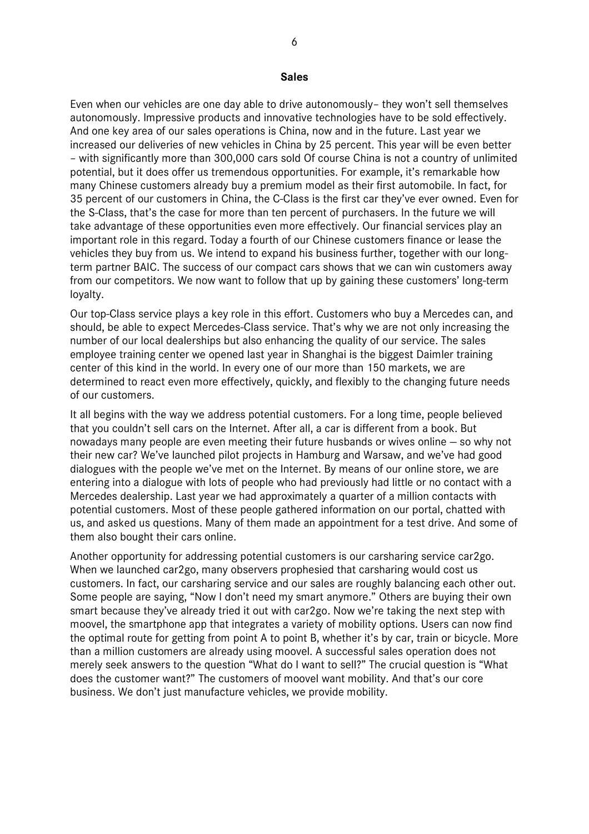#### **Sales**

Even when our vehicles are one day able to drive autonomously– they won't sell themselves autonomously. Impressive products and innovative technologies have to be sold effectively. And one key area of our sales operations is China, now and in the future. Last year we increased our deliveries of new vehicles in China by 25 percent. This year will be even better – with significantly more than 300,000 cars sold Of course China is not a country of unlimited potential, but it does offer us tremendous opportunities. For example, it's remarkable how many Chinese customers already buy a premium model as their first automobile. In fact, for 35 percent of our customers in China, the C-Class is the first car they've ever owned. Even for the S-Class, that's the case for more than ten percent of purchasers. In the future we will take advantage of these opportunities even more effectively. Our financial services play an important role in this regard. Today a fourth of our Chinese customers finance or lease the vehicles they buy from us. We intend to expand his business further, together with our longterm partner BAIC. The success of our compact cars shows that we can win customers away from our competitors. We now want to follow that up by gaining these customers' long-term loyalty.

Our top-Class service plays a key role in this effort. Customers who buy a Mercedes can, and should, be able to expect Mercedes-Class service. That's why we are not only increasing the number of our local dealerships but also enhancing the quality of our service. The sales employee training center we opened last year in Shanghai is the biggest Daimler training center of this kind in the world. In every one of our more than 150 markets, we are determined to react even more effectively, quickly, and flexibly to the changing future needs of our customers.

It all begins with the way we address potential customers. For a long time, people believed that you couldn't sell cars on the Internet. After all, a car is different from a book. But nowadays many people are even meeting their future husbands or wives online — so why not their new car? We've launched pilot projects in Hamburg and Warsaw, and we've had good dialogues with the people we've met on the Internet. By means of our online store, we are entering into a dialogue with lots of people who had previously had little or no contact with a Mercedes dealership. Last year we had approximately a quarter of a million contacts with potential customers. Most of these people gathered information on our portal, chatted with us, and asked us questions. Many of them made an appointment for a test drive. And some of them also bought their cars online.

Another opportunity for addressing potential customers is our carsharing service car2go. When we launched car2go, many observers prophesied that carsharing would cost us customers. In fact, our carsharing service and our sales are roughly balancing each other out. Some people are saying, "Now I don't need my smart anymore." Others are buying their own smart because they've already tried it out with car2go. Now we're taking the next step with moovel, the smartphone app that integrates a variety of mobility options. Users can now find the optimal route for getting from point A to point B, whether it's by car, train or bicycle. More than a million customers are already using moovel. A successful sales operation does not merely seek answers to the question "What do I want to sell?" The crucial question is "What does the customer want?" The customers of moovel want mobility. And that's our core business. We don't just manufacture vehicles, we provide mobility.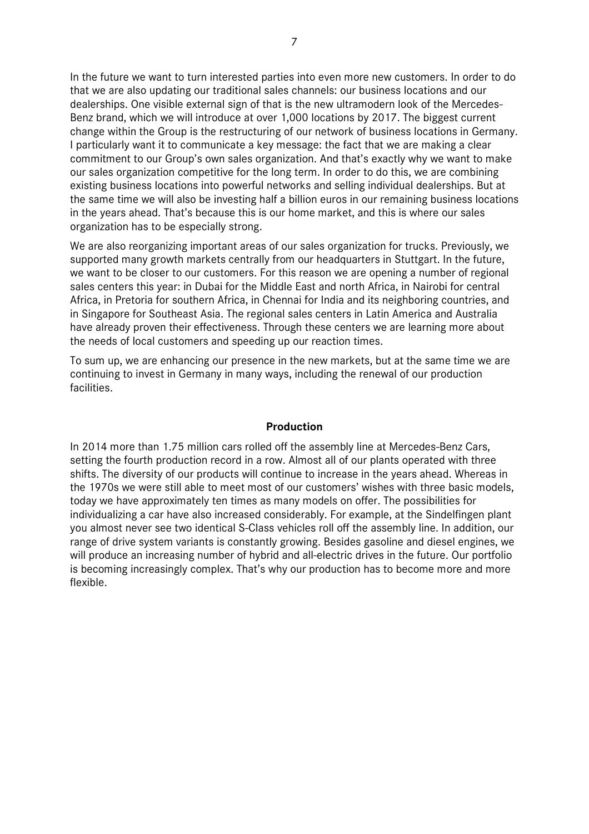In the future we want to turn interested parties into even more new customers. In order to do that we are also updating our traditional sales channels: our business locations and our dealerships. One visible external sign of that is the new ultramodern look of the Mercedes-Benz brand, which we will introduce at over 1,000 locations by 2017. The biggest current change within the Group is the restructuring of our network of business locations in Germany. I particularly want it to communicate a key message: the fact that we are making a clear commitment to our Group's own sales organization. And that's exactly why we want to make our sales organization competitive for the long term. In order to do this, we are combining existing business locations into powerful networks and selling individual dealerships. But at the same time we will also be investing half a billion euros in our remaining business locations in the years ahead. That's because this is our home market, and this is where our sales organization has to be especially strong.

We are also reorganizing important areas of our sales organization for trucks. Previously, we supported many growth markets centrally from our headquarters in Stuttgart. In the future, we want to be closer to our customers. For this reason we are opening a number of regional sales centers this year: in Dubai for the Middle East and north Africa, in Nairobi for central Africa, in Pretoria for southern Africa, in Chennai for India and its neighboring countries, and in Singapore for Southeast Asia. The regional sales centers in Latin America and Australia have already proven their effectiveness. Through these centers we are learning more about the needs of local customers and speeding up our reaction times.

To sum up, we are enhancing our presence in the new markets, but at the same time we are continuing to invest in Germany in many ways, including the renewal of our production facilities.

# **Production**

In 2014 more than 1.75 million cars rolled off the assembly line at Mercedes-Benz Cars, setting the fourth production record in a row. Almost all of our plants operated with three shifts. The diversity of our products will continue to increase in the years ahead. Whereas in the 1970s we were still able to meet most of our customers' wishes with three basic models, today we have approximately ten times as many models on offer. The possibilities for individualizing a car have also increased considerably. For example, at the Sindelfingen plant you almost never see two identical S-Class vehicles roll off the assembly line. In addition, our range of drive system variants is constantly growing. Besides gasoline and diesel engines, we will produce an increasing number of hybrid and all-electric drives in the future. Our portfolio is becoming increasingly complex. That's why our production has to become more and more flexible.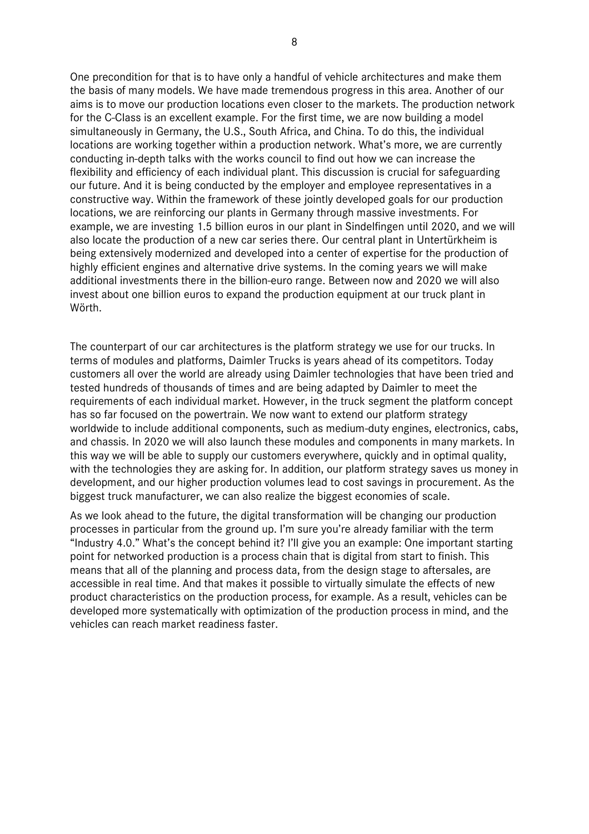One precondition for that is to have only a handful of vehicle architectures and make them the basis of many models. We have made tremendous progress in this area. Another of our aims is to move our production locations even closer to the markets. The production network for the C-Class is an excellent example. For the first time, we are now building a model simultaneously in Germany, the U.S., South Africa, and China. To do this, the individual locations are working together within a production network. What's more, we are currently conducting in-depth talks with the works council to find out how we can increase the flexibility and efficiency of each individual plant. This discussion is crucial for safeguarding our future. And it is being conducted by the employer and employee representatives in a constructive way. Within the framework of these jointly developed goals for our production locations, we are reinforcing our plants in Germany through massive investments. For example, we are investing 1.5 billion euros in our plant in Sindelfingen until 2020, and we will also locate the production of a new car series there. Our central plant in Untertürkheim is being extensively modernized and developed into a center of expertise for the production of highly efficient engines and alternative drive systems. In the coming years we will make additional investments there in the billion-euro range. Between now and 2020 we will also invest about one billion euros to expand the production equipment at our truck plant in Wörth.

The counterpart of our car architectures is the platform strategy we use for our trucks. In terms of modules and platforms, Daimler Trucks is years ahead of its competitors. Today customers all over the world are already using Daimler technologies that have been tried and tested hundreds of thousands of times and are being adapted by Daimler to meet the requirements of each individual market. However, in the truck segment the platform concept has so far focused on the powertrain. We now want to extend our platform strategy worldwide to include additional components, such as medium-duty engines, electronics, cabs, and chassis. In 2020 we will also launch these modules and components in many markets. In this way we will be able to supply our customers everywhere, quickly and in optimal quality, with the technologies they are asking for. In addition, our platform strategy saves us money in development, and our higher production volumes lead to cost savings in procurement. As the biggest truck manufacturer, we can also realize the biggest economies of scale.

As we look ahead to the future, the digital transformation will be changing our production processes in particular from the ground up. I'm sure you're already familiar with the term "Industry 4.0." What's the concept behind it? I'll give you an example: One important starting point for networked production is a process chain that is digital from start to finish. This means that all of the planning and process data, from the design stage to aftersales, are accessible in real time. And that makes it possible to virtually simulate the effects of new product characteristics on the production process, for example. As a result, vehicles can be developed more systematically with optimization of the production process in mind, and the vehicles can reach market readiness faster.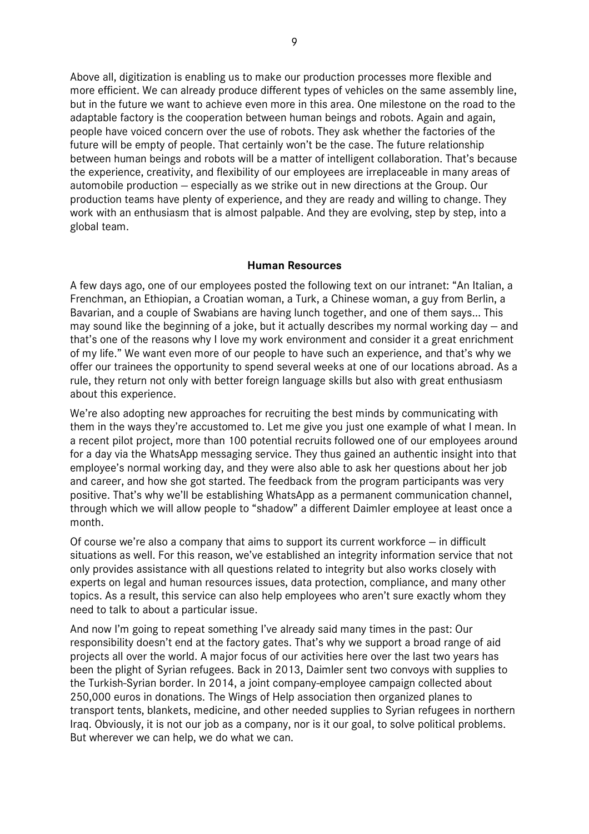Above all, digitization is enabling us to make our production processes more flexible and more efficient. We can already produce different types of vehicles on the same assembly line, but in the future we want to achieve even more in this area. One milestone on the road to the adaptable factory is the cooperation between human beings and robots. Again and again, people have voiced concern over the use of robots. They ask whether the factories of the future will be empty of people. That certainly won't be the case. The future relationship between human beings and robots will be a matter of intelligent collaboration. That's because the experience, creativity, and flexibility of our employees are irreplaceable in many areas of automobile production — especially as we strike out in new directions at the Group. Our production teams have plenty of experience, and they are ready and willing to change. They work with an enthusiasm that is almost palpable. And they are evolving, step by step, into a global team.

# **Human Resources**

A few days ago, one of our employees posted the following text on our intranet: "An Italian, a Frenchman, an Ethiopian, a Croatian woman, a Turk, a Chinese woman, a guy from Berlin, a Bavarian, and a couple of Swabians are having lunch together, and one of them says... This may sound like the beginning of a joke, but it actually describes my normal working day — and that's one of the reasons why I love my work environment and consider it a great enrichment of my life." We want even more of our people to have such an experience, and that's why we offer our trainees the opportunity to spend several weeks at one of our locations abroad. As a rule, they return not only with better foreign language skills but also with great enthusiasm about this experience.

We're also adopting new approaches for recruiting the best minds by communicating with them in the ways they're accustomed to. Let me give you just one example of what I mean. In a recent pilot project, more than 100 potential recruits followed one of our employees around for a day via the WhatsApp messaging service. They thus gained an authentic insight into that employee's normal working day, and they were also able to ask her questions about her job and career, and how she got started. The feedback from the program participants was very positive. That's why we'll be establishing WhatsApp as a permanent communication channel, through which we will allow people to "shadow" a different Daimler employee at least once a month.

Of course we're also a company that aims to support its current workforce — in difficult situations as well. For this reason, we've established an integrity information service that not only provides assistance with all questions related to integrity but also works closely with experts on legal and human resources issues, data protection, compliance, and many other topics. As a result, this service can also help employees who aren't sure exactly whom they need to talk to about a particular issue.

And now I'm going to repeat something I've already said many times in the past: Our responsibility doesn't end at the factory gates. That's why we support a broad range of aid projects all over the world. A major focus of our activities here over the last two years has been the plight of Syrian refugees. Back in 2013, Daimler sent two convoys with supplies to the Turkish-Syrian border. In 2014, a joint company-employee campaign collected about 250,000 euros in donations. The Wings of Help association then organized planes to transport tents, blankets, medicine, and other needed supplies to Syrian refugees in northern Iraq. Obviously, it is not our job as a company, nor is it our goal, to solve political problems. But wherever we can help, we do what we can.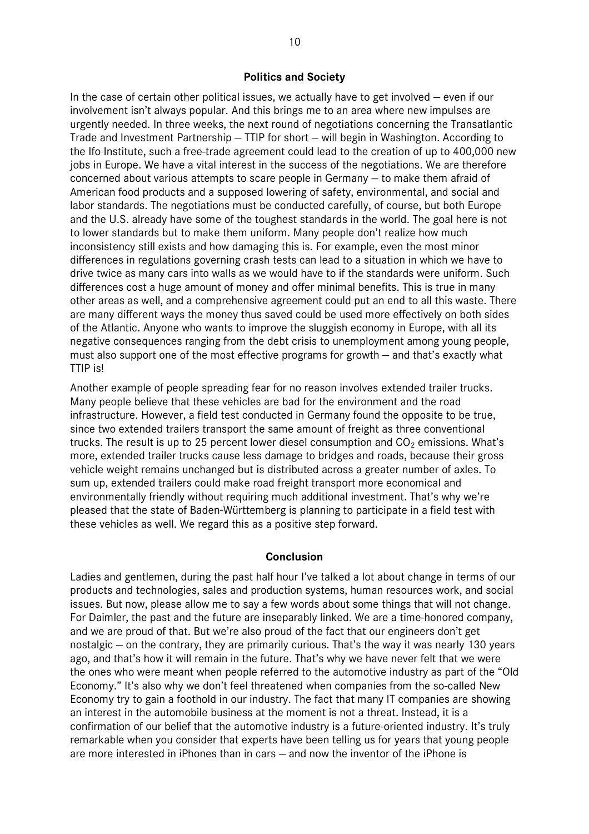### **Politics and Society**

In the case of certain other political issues, we actually have to get involved — even if our involvement isn't always popular. And this brings me to an area where new impulses are urgently needed. In three weeks, the next round of negotiations concerning the Transatlantic Trade and Investment Partnership — TTIP for short — will begin in Washington. According to the Ifo Institute, such a free-trade agreement could lead to the creation of up to 400,000 new jobs in Europe. We have a vital interest in the success of the negotiations. We are therefore concerned about various attempts to scare people in Germany — to make them afraid of American food products and a supposed lowering of safety, environmental, and social and labor standards. The negotiations must be conducted carefully, of course, but both Europe and the U.S. already have some of the toughest standards in the world. The goal here is not to lower standards but to make them uniform. Many people don't realize how much inconsistency still exists and how damaging this is. For example, even the most minor differences in regulations governing crash tests can lead to a situation in which we have to drive twice as many cars into walls as we would have to if the standards were uniform. Such differences cost a huge amount of money and offer minimal benefits. This is true in many other areas as well, and a comprehensive agreement could put an end to all this waste. There are many different ways the money thus saved could be used more effectively on both sides of the Atlantic. Anyone who wants to improve the sluggish economy in Europe, with all its negative consequences ranging from the debt crisis to unemployment among young people, must also support one of the most effective programs for growth — and that's exactly what TTIP is!

Another example of people spreading fear for no reason involves extended trailer trucks. Many people believe that these vehicles are bad for the environment and the road infrastructure. However, a field test conducted in Germany found the opposite to be true, since two extended trailers transport the same amount of freight as three conventional trucks. The result is up to 25 percent lower diesel consumption and  $CO<sub>2</sub>$  emissions. What's more, extended trailer trucks cause less damage to bridges and roads, because their gross vehicle weight remains unchanged but is distributed across a greater number of axles. To sum up, extended trailers could make road freight transport more economical and environmentally friendly without requiring much additional investment. That's why we're pleased that the state of Baden-Württemberg is planning to participate in a field test with these vehicles as well. We regard this as a positive step forward.

# **Conclusion**

Ladies and gentlemen, during the past half hour I've talked a lot about change in terms of our products and technologies, sales and production systems, human resources work, and social issues. But now, please allow me to say a few words about some things that will not change. For Daimler, the past and the future are inseparably linked. We are a time-honored company, and we are proud of that. But we're also proud of the fact that our engineers don't get nostalgic — on the contrary, they are primarily curious. That's the way it was nearly 130 years ago, and that's how it will remain in the future. That's why we have never felt that we were the ones who were meant when people referred to the automotive industry as part of the "Old Economy." It's also why we don't feel threatened when companies from the so-called New Economy try to gain a foothold in our industry. The fact that many IT companies are showing an interest in the automobile business at the moment is not a threat. Instead, it is a confirmation of our belief that the automotive industry is a future-oriented industry. It's truly remarkable when you consider that experts have been telling us for years that young people are more interested in iPhones than in cars — and now the inventor of the iPhone is